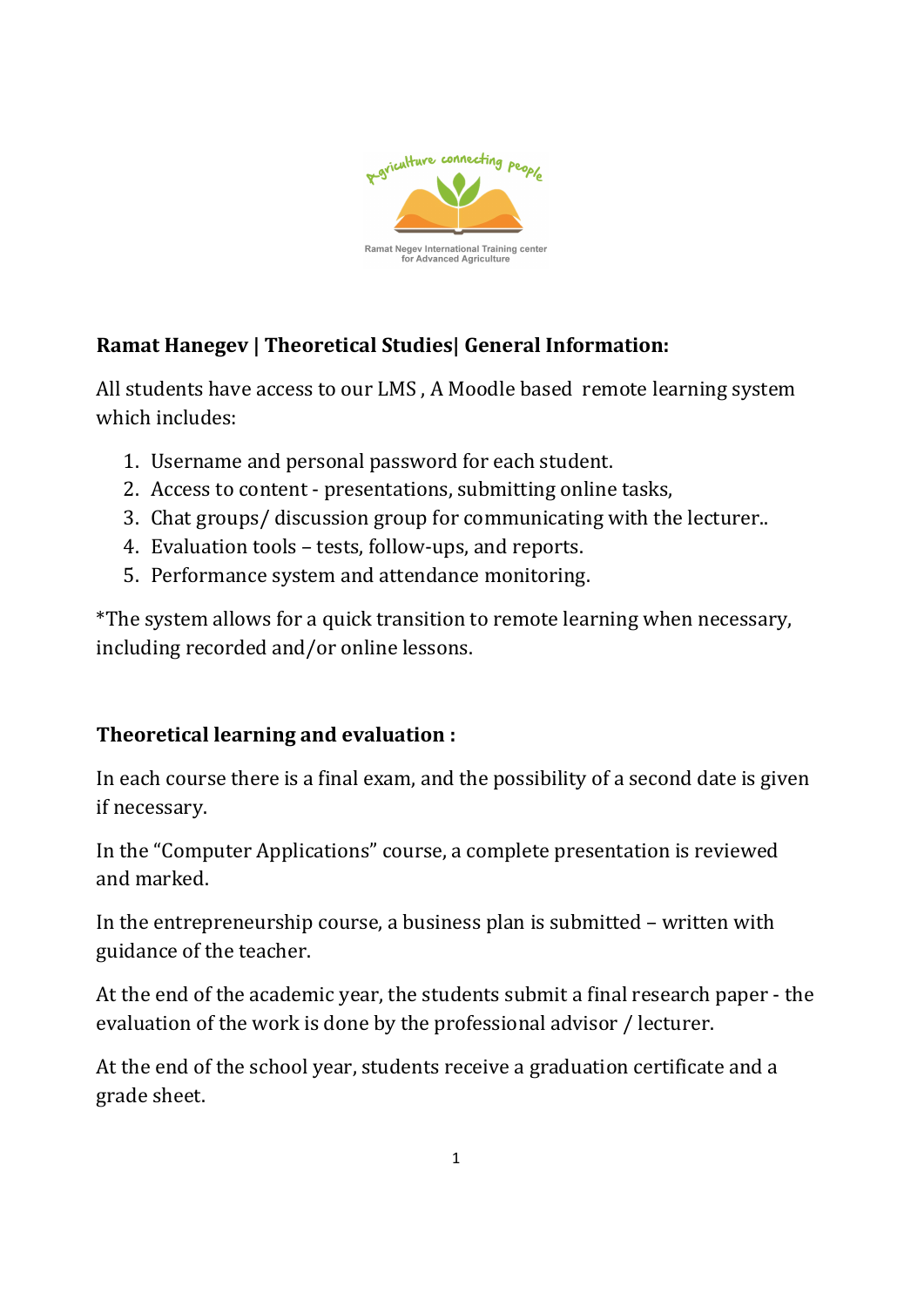

# Ramat Hanegev | Theoretical Studies| General Information:

All students have access to our LMS , A Moodle based remote learning system which includes:

- 1. Username and personal password for each student.
- 2. Access to content presentations, submitting online tasks,
- 3. Chat groups/ discussion group for communicating with the lecturer..
- 4. Evaluation tools tests, follow-ups, and reports.
- 5. Performance system and attendance monitoring.

\*The system allows for a quick transition to remote learning when necessary, including recorded and/or online lessons.

# Theoretical learning and evaluation :

In each course there is a final exam, and the possibility of a second date is given if necessary.

In the "Computer Applications" course, a complete presentation is reviewed and marked.

In the entrepreneurship course, a business plan is submitted – written with guidance of the teacher.

At the end of the academic year, the students submit a final research paper - the evaluation of the work is done by the professional advisor / lecturer.

At the end of the school year, students receive a graduation certificate and a grade sheet.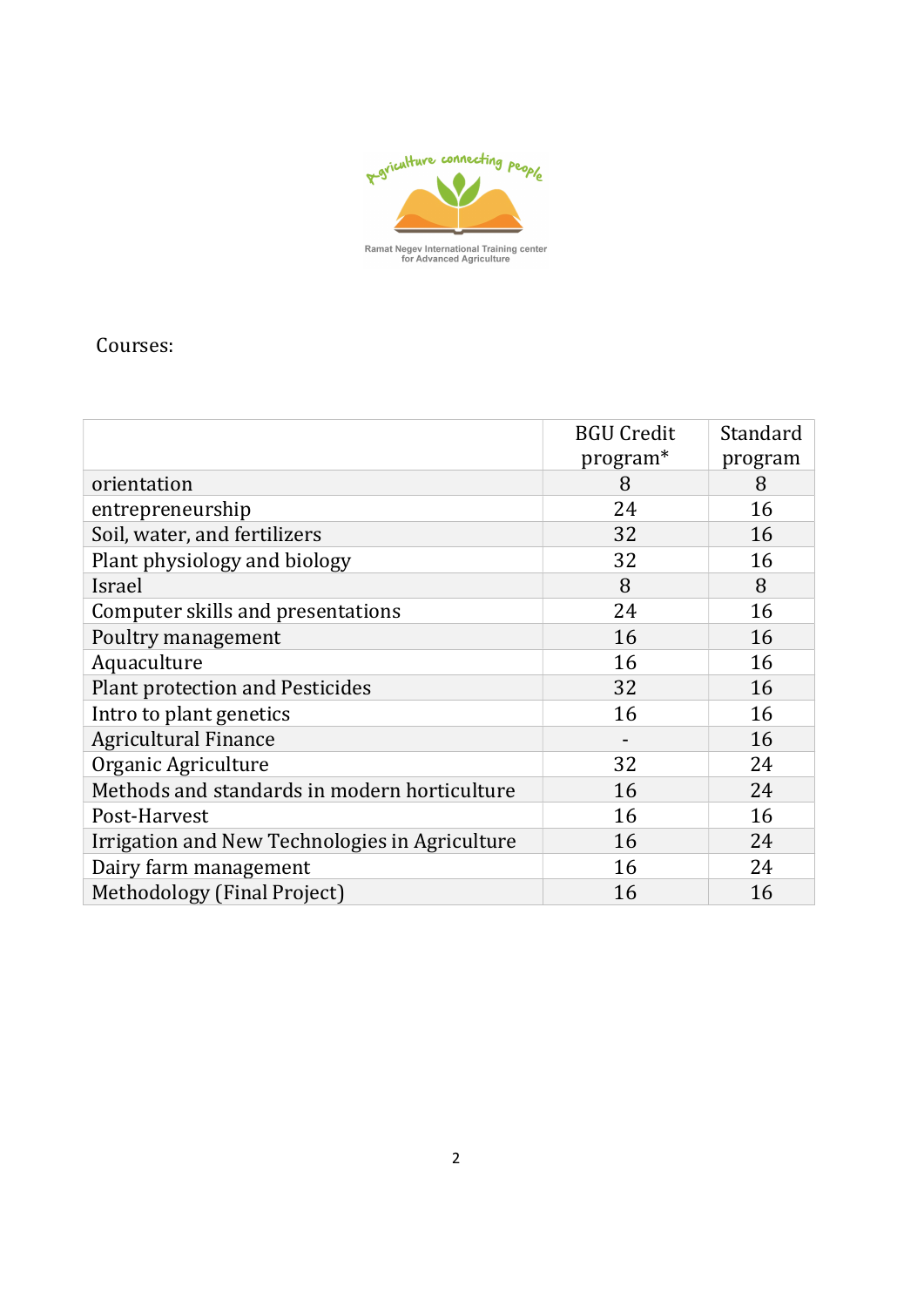

Courses:

|                                                | <b>BGU Credit</b><br>program* | Standard<br>program |
|------------------------------------------------|-------------------------------|---------------------|
| orientation                                    | 8                             | 8                   |
| entrepreneurship                               | 24                            | 16                  |
| Soil, water, and fertilizers                   | 32                            | 16                  |
| Plant physiology and biology                   | 32                            | 16                  |
| Israel                                         | 8                             | 8                   |
| Computer skills and presentations              | 24                            | 16                  |
| Poultry management                             | 16                            | 16                  |
| Aquaculture                                    | 16                            | 16                  |
| <b>Plant protection and Pesticides</b>         | 32                            | 16                  |
| Intro to plant genetics                        | 16                            | 16                  |
| <b>Agricultural Finance</b>                    |                               | 16                  |
| Organic Agriculture                            | 32                            | 24                  |
| Methods and standards in modern horticulture   | 16                            | 24                  |
| Post-Harvest                                   | 16                            | 16                  |
| Irrigation and New Technologies in Agriculture | 16                            | 24                  |
| Dairy farm management                          | 16                            | 24                  |
| Methodology (Final Project)                    | 16                            | 16                  |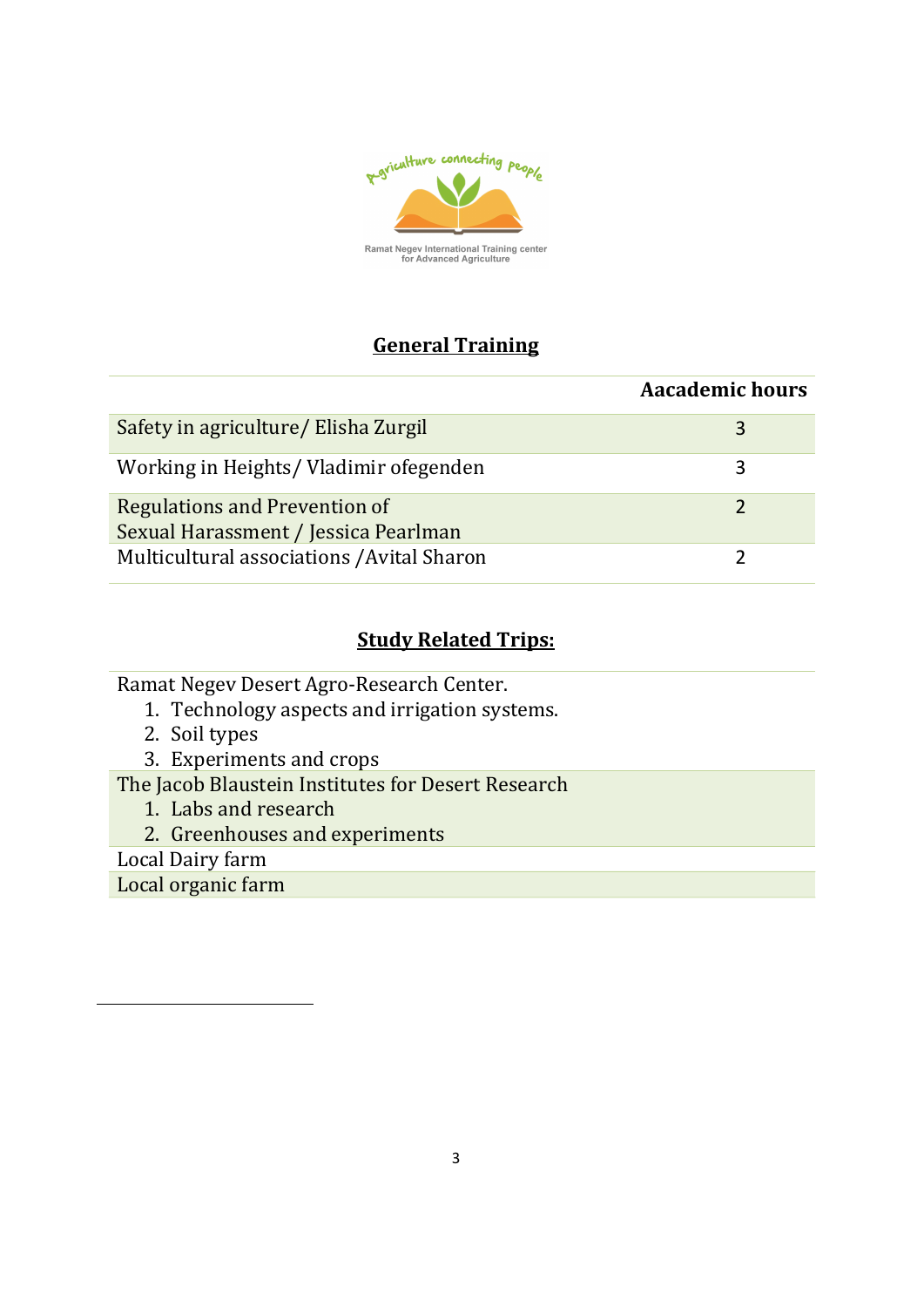

## General Training

|                                                                       | <b>Aacademic hours</b> |
|-----------------------------------------------------------------------|------------------------|
| Safety in agriculture/ Elisha Zurgil                                  | 3                      |
| Working in Heights/ Vladimir ofegenden                                |                        |
| Regulations and Prevention of<br>Sexual Harassment / Jessica Pearlman |                        |
| Multicultural associations / Avital Sharon                            |                        |

#### **Study Related Trips:**

Ramat Negev Desert Agro-Research Center.

- 1. Technology aspects and irrigation systems.
- 2. Soil types
- 3. Experiments and crops

The Jacob Blaustein Institutes for Desert Research

- 1. Labs and research
- 2. Greenhouses and experiments

Local Dairy farm

 $\overline{a}$ 

Local organic farm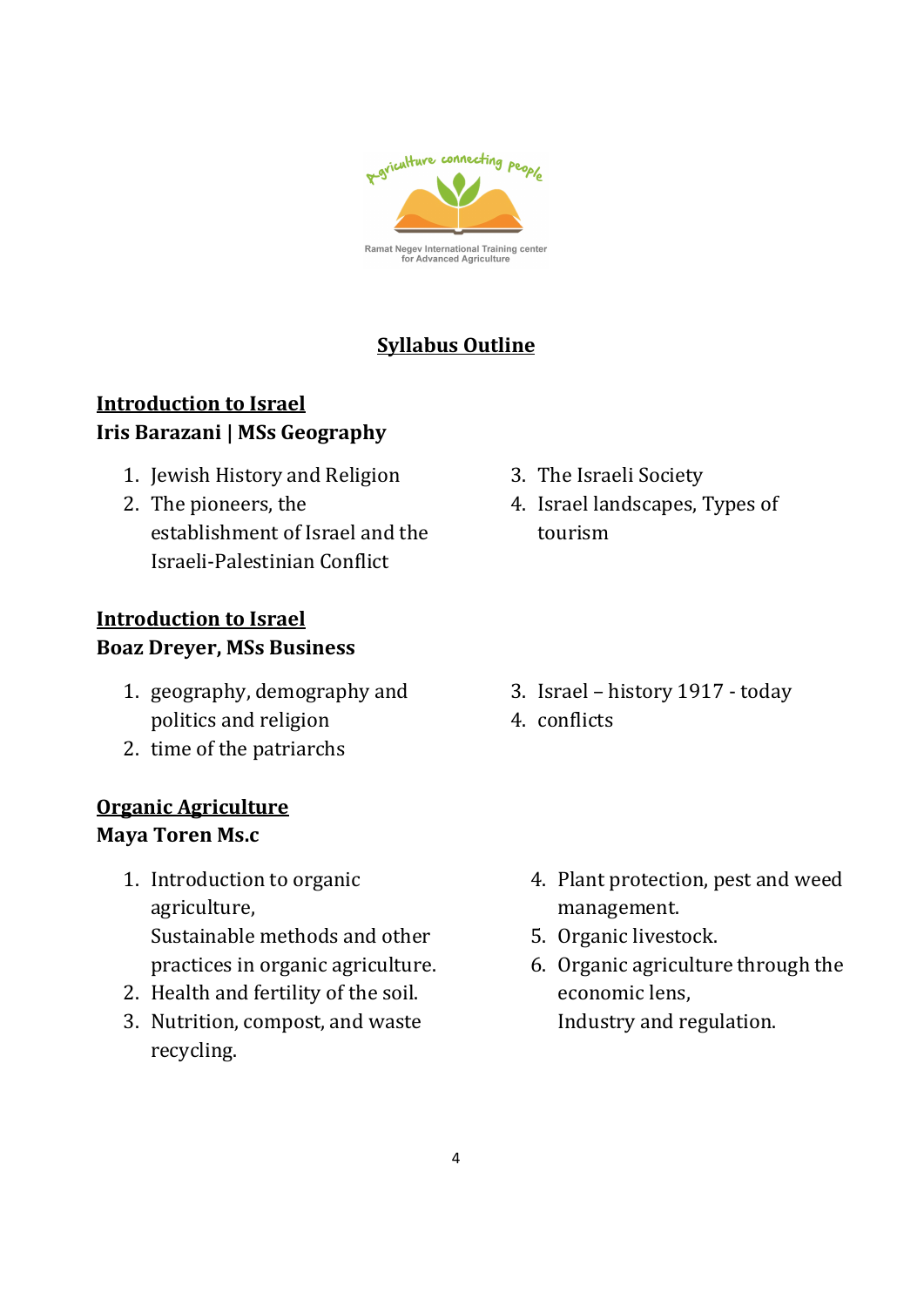

## Syllabus Outline

## Introduction to Israel Iris Barazani | MSs Geography

- 1. Jewish History and Religion
- 2. The pioneers, the establishment of Israel and the Israeli-Palestinian Conflict

## Introduction to Israel Boaz Dreyer, MSs Business

- 1. geography, demography and politics and religion
- 2. time of the patriarchs

#### Organic Agriculture Maya Toren Ms.c

- 1. Introduction to organic agriculture, Sustainable methods and other practices in organic agriculture.
- 2. Health and fertility of the soil.
- 3. Nutrition, compost, and waste recycling.
- 3. The Israeli Society
- 4. Israel landscapes, Types of tourism

- 3. Israel history 1917 today
- 4. conflicts

- 4. Plant protection, pest and weed management.
- 5. Organic livestock.
- 6. Organic agriculture through the economic lens, Industry and regulation.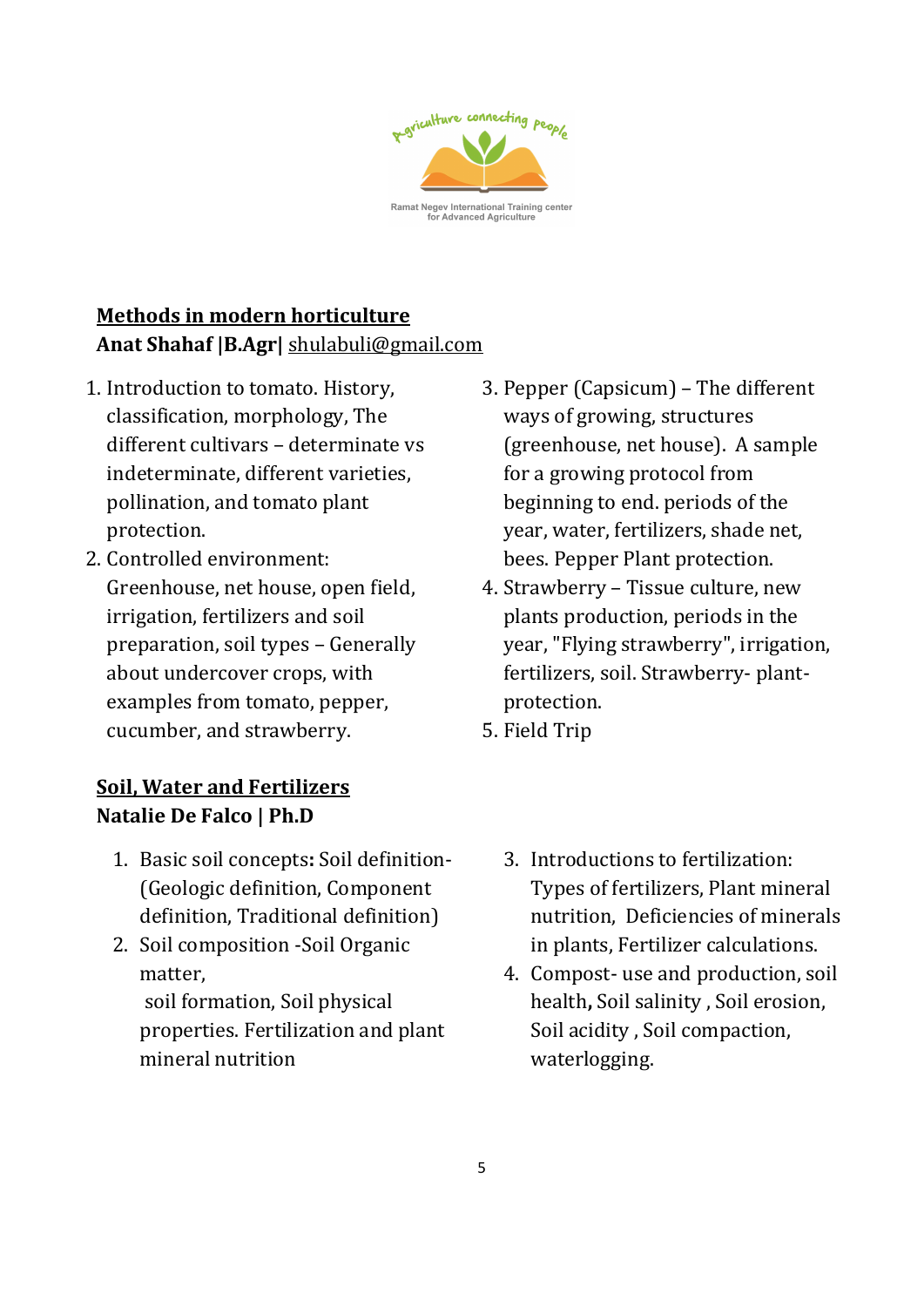

# Methods in modern horticulture Anat Shahaf |B.Agr| shulabuli@gmail.com

- 1. Introduction to tomato. History, classification, morphology, The different cultivars – determinate vs indeterminate, different varieties, pollination, and tomato plant protection.
- 2. Controlled environment: Greenhouse, net house, open field, irrigation, fertilizers and soil preparation, soil types – Generally about undercover crops, with examples from tomato, pepper, cucumber, and strawberry.

## Soil, Water and Fertilizers Natalie De Falco | Ph.D

- 1. Basic soil concepts: Soil definition- (Geologic definition, Component definition, Traditional definition)
- 2. Soil composition -Soil Organic matter, soil formation, Soil physical properties. Fertilization and plant mineral nutrition
- 3. Pepper (Capsicum) The different ways of growing, structures (greenhouse, net house). A sample for a growing protocol from beginning to end. periods of the year, water, fertilizers, shade net, bees. Pepper Plant protection.
- 4. Strawberry Tissue culture, new plants production, periods in the year, "Flying strawberry", irrigation, fertilizers, soil. Strawberry- plantprotection.
- 5. Field Trip
	- 3. Introductions to fertilization: Types of fertilizers, Plant mineral nutrition, Deficiencies of minerals in plants, Fertilizer calculations.
	- 4. Compost- use and production, soil health, Soil salinity , Soil erosion, Soil acidity , Soil compaction, waterlogging.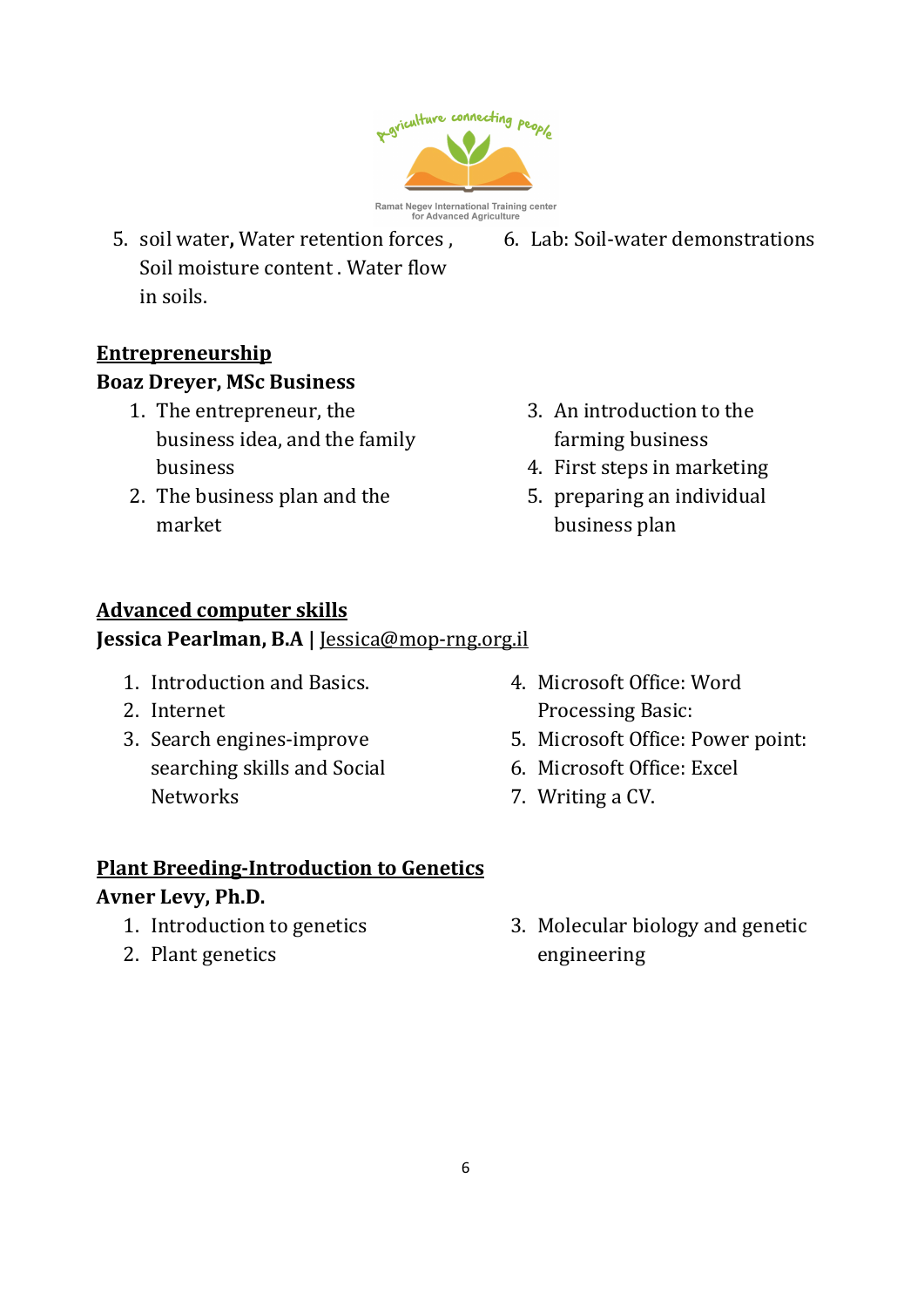

- 5. soil water, Water retention forces , Soil moisture content . Water flow in soils.
- 6. Lab: Soil-water demonstrations

- **Entrepreneurship** Boaz Dreyer, MSc Business
	- 1. The entrepreneur, the business idea, and the family business
	- 2. The business plan and the market
- 3. An introduction to the farming business
- 4. First steps in marketing
- 5. preparing an individual business plan

## Advanced computer skills

Jessica Pearlman, B.A | Jessica@mop-rng.org.il

- 1. Introduction and Basics.
- 2. Internet
- 3. Search engines-improve searching skills and Social **Networks**
- 4. Microsoft Office: Word Processing Basic:
- 5. Microsoft Office: Power point:
- 6. Microsoft Office: Excel
- 7. Writing a CV.

# Plant Breeding-Introduction to Genetics

#### Avner Levy, Ph.D.

- 1. Introduction to genetics
- 2. Plant genetics

3. Molecular biology and genetic engineering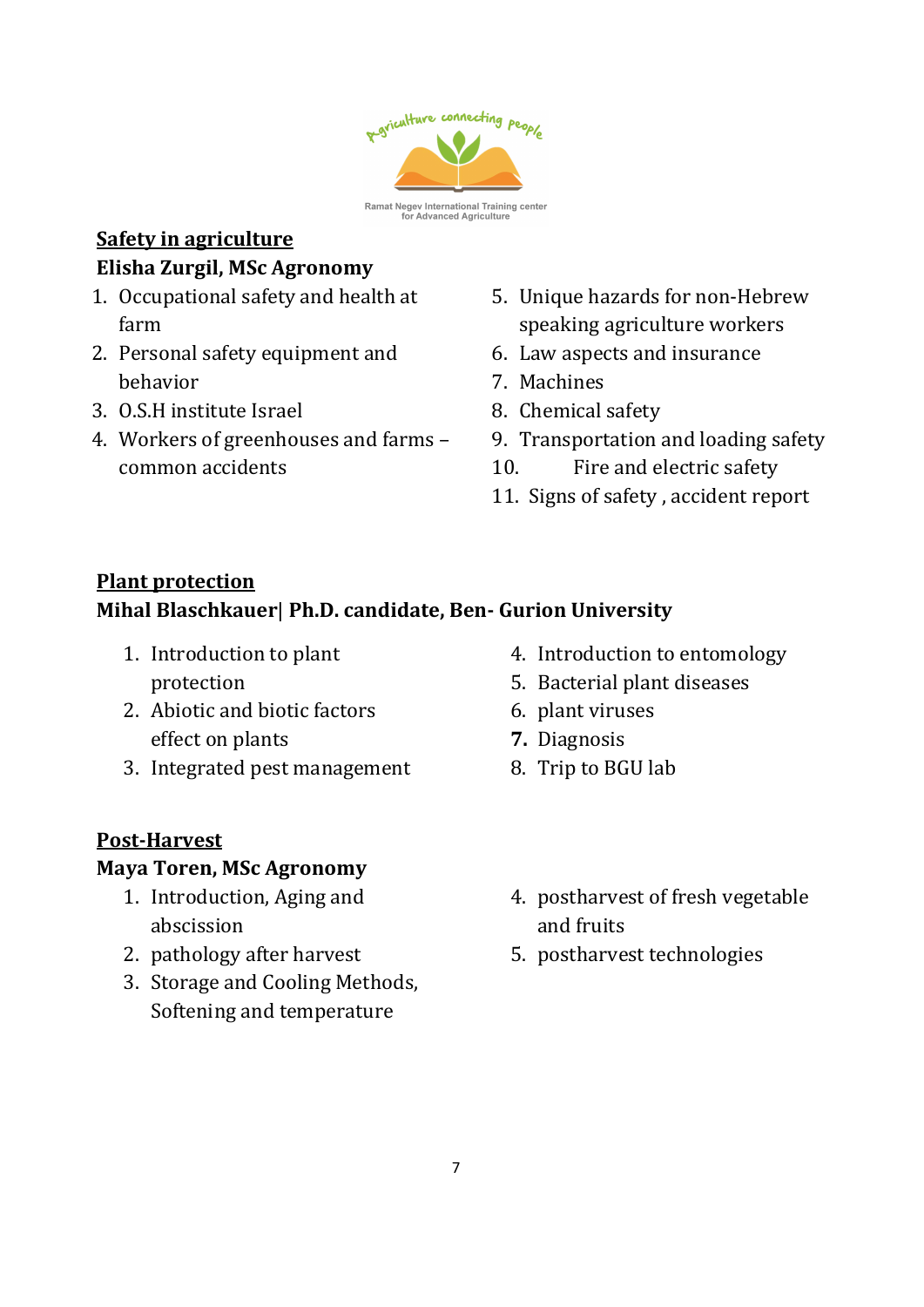

#### Safety in agriculture Elisha Zurgil, MSc Agronomy

- 1. Occupational safety and health at farm
- 2. Personal safety equipment and behavior
- 3. O.S.H institute Israel
- 4. Workers of greenhouses and farms common accidents
- 5. Unique hazards for non-Hebrew speaking agriculture workers
- 6. Law aspects and insurance
- 7. Machines
- 8. Chemical safety
- 9. Transportation and loading safety
- 10. Fire and electric safety
- 11. Signs of safety , accident report

## Plant protection

## Mihal Blaschkauer| Ph.D. candidate, Ben- Gurion University

- 1. Introduction to plant protection
- 2. Abiotic and biotic factors effect on plants
- 3. Integrated pest management

## Post-Harvest

## Maya Toren, MSc Agronomy

- 1. Introduction, Aging and abscission
- 2. pathology after harvest
- 3. Storage and Cooling Methods, Softening and temperature
- 4. Introduction to entomology
- 5. Bacterial plant diseases
- 6. plant viruses
- 7. Diagnosis
- 8. Trip to BGU lab
- 4. postharvest of fresh vegetable and fruits
- 5. postharvest technologies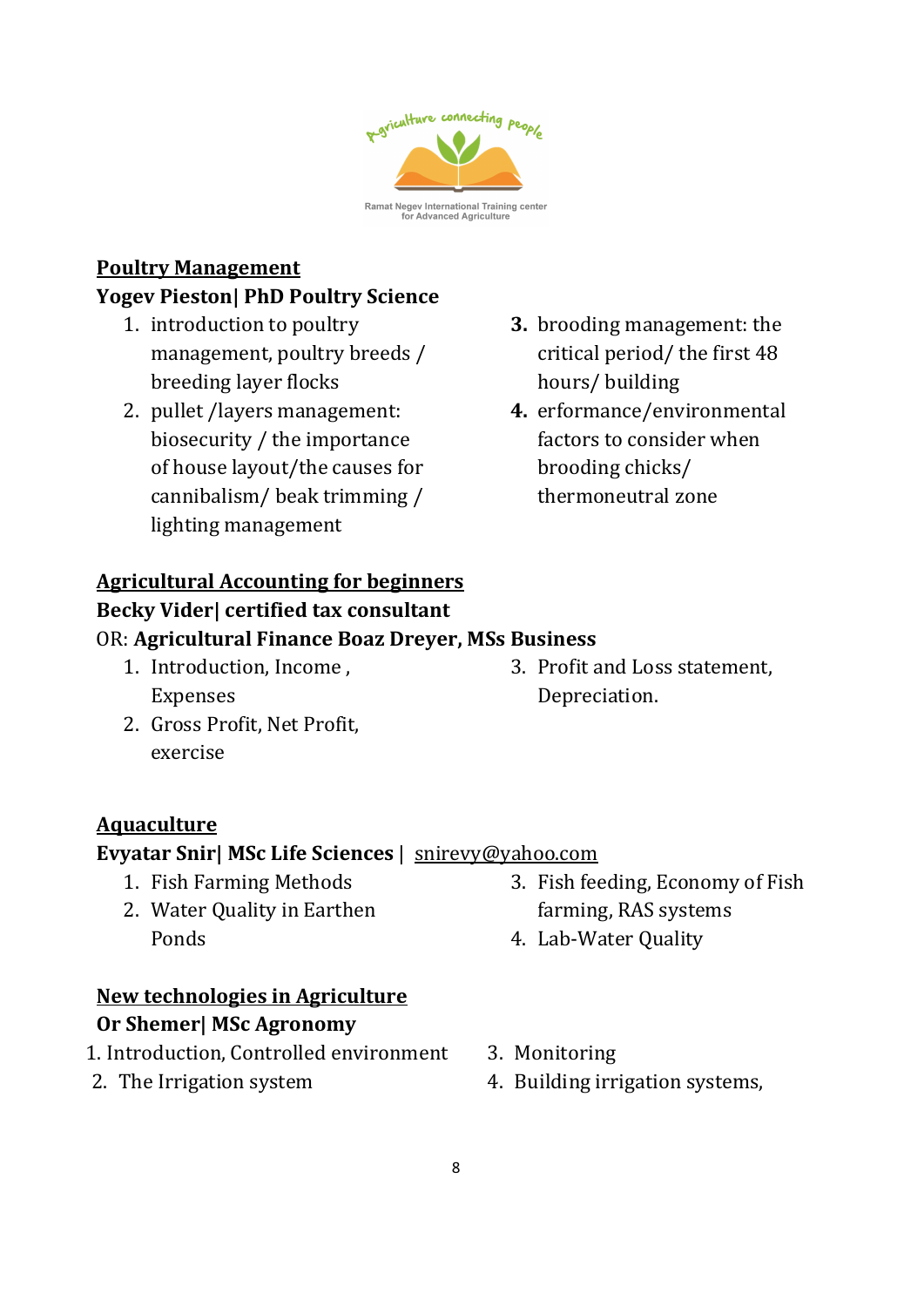

#### Poultry Management

#### Yogev Pieston| PhD Poultry Science

- 1. introduction to poultry management, poultry breeds / breeding layer flocks
- 2. pullet /layers management: biosecurity / the importance of house layout/the causes for cannibalism/ beak trimming / lighting management
- 3. brooding management: the critical period/ the first 48 hours/ building
- 4. erformance/environmental factors to consider when brooding chicks/ thermoneutral zone

## Agricultural Accounting for beginners

#### Becky Vider| certified tax consultant

#### OR: Agricultural Finance Boaz Dreyer, MSs Business

- 1. Introduction, Income , Expenses
- 2. Gross Profit, Net Profit, exercise
- Aquaculture

#### Evyatar Snir| MSc Life Sciences | snirevy@yahoo.com

- 1. Fish Farming Methods
- 2. Water Quality in Earthen Ponds

#### New technologies in Agriculture

#### Or Shemer| MSc Agronomy

- 1. Introduction, Controlled environment
- 2. The Irrigation system

3. Profit and Loss statement, Depreciation.

3. Fish feeding, Economy of Fish

farming, RAS systems

4. Lab-Water Quality

- 3. Monitoring
- 4. Building irrigation systems,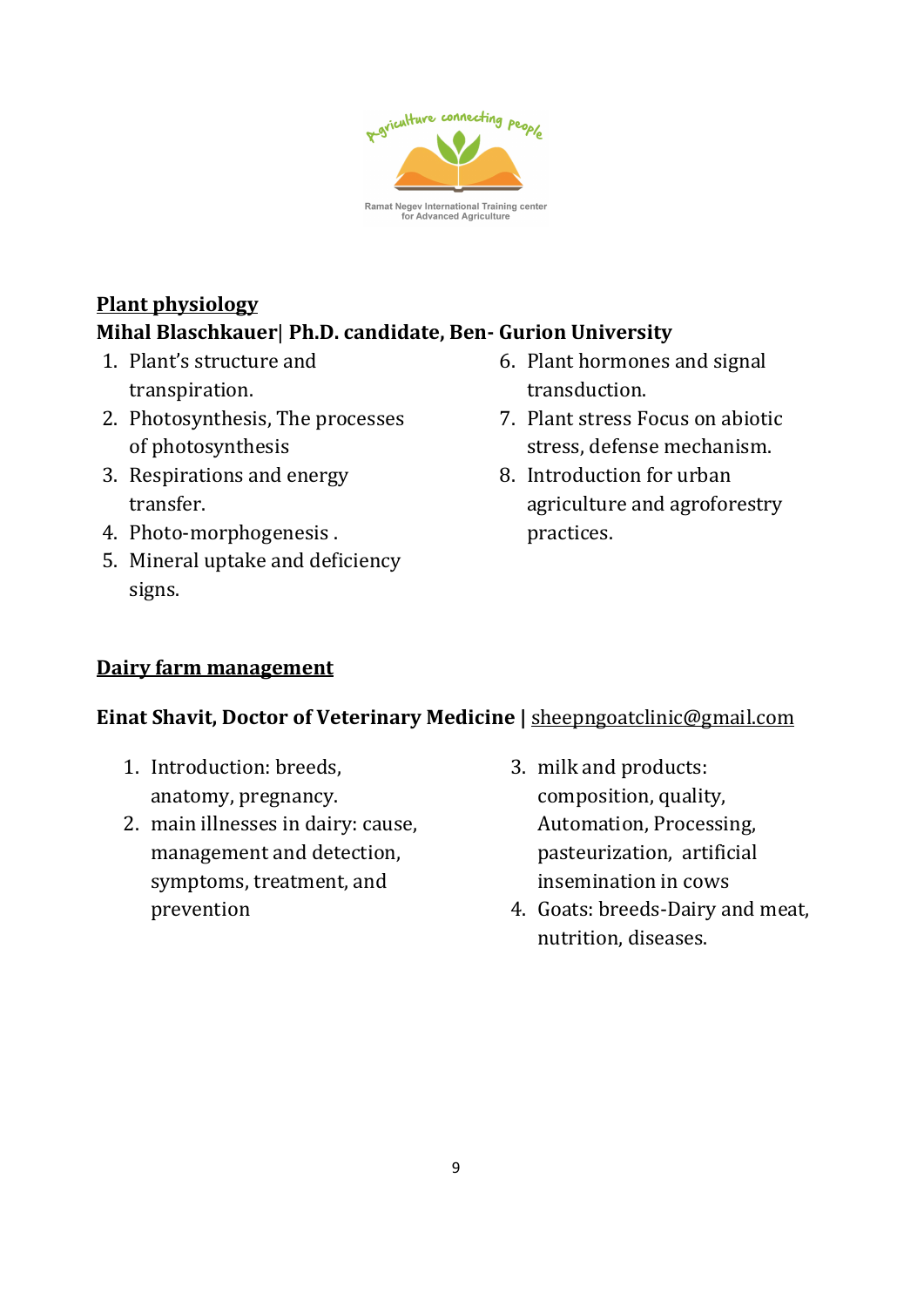

# Plant physiology Mihal Blaschkauer| Ph.D. candidate, Ben- Gurion University

- 1. Plant's structure and transpiration.
- 2. Photosynthesis, The processes of photosynthesis
- 3. Respirations and energy transfer.
- 4. Photo-morphogenesis .
- 5. Mineral uptake and deficiency signs.
- 6. Plant hormones and signal transduction.
- 7. Plant stress Focus on abiotic stress, defense mechanism.
- 8. Introduction for urban agriculture and agroforestry practices.

## Dairy farm management

#### Einat Shavit, Doctor of Veterinary Medicine | sheepngoatclinic@gmail.com

- 1. Introduction: breeds, anatomy, pregnancy.
- 2. main illnesses in dairy: cause, management and detection, symptoms, treatment, and prevention
- 3. milk and products: composition, quality, Automation, Processing, pasteurization, artificial insemination in cows
- 4. Goats: breeds-Dairy and meat, nutrition, diseases.